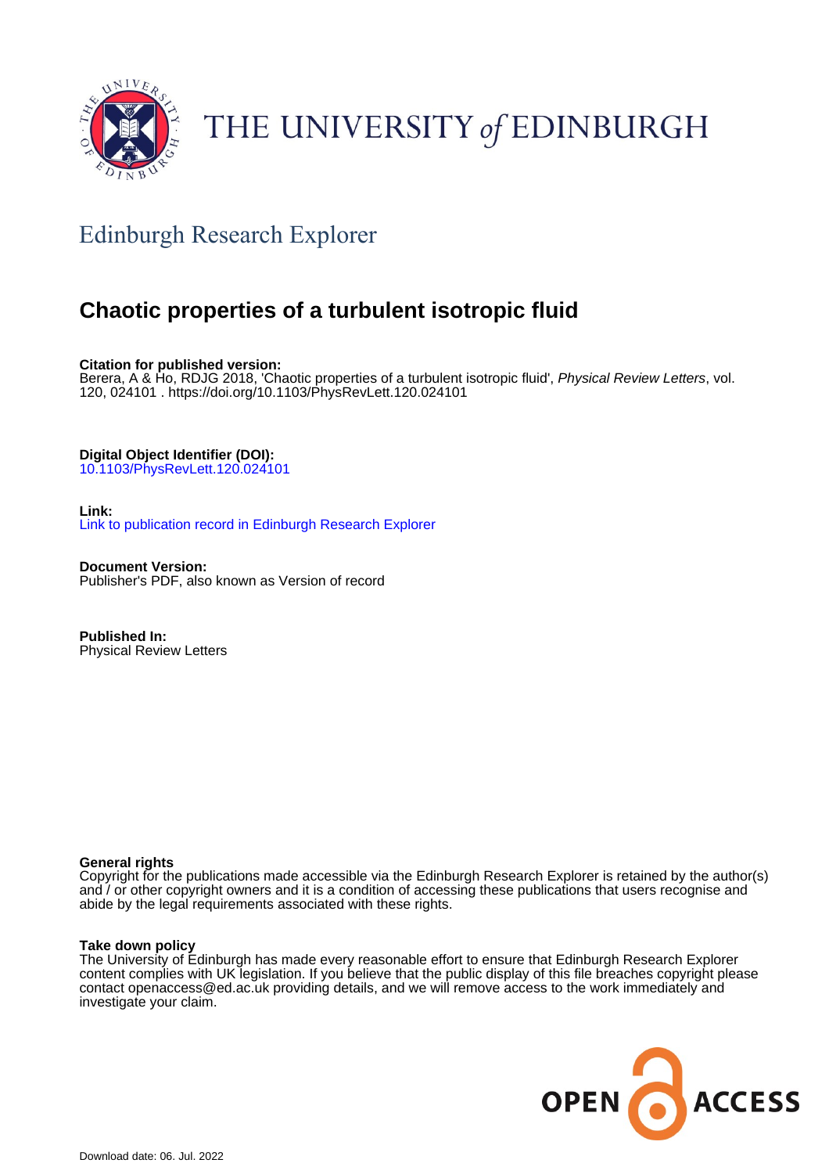

# THE UNIVERSITY of EDINBURGH

## Edinburgh Research Explorer

### **Chaotic properties of a turbulent isotropic fluid**

**Citation for published version:**

Berera, A & Ho, RDJG 2018, 'Chaotic properties of a turbulent isotropic fluid', Physical Review Letters, vol. 120, 024101 . <https://doi.org/10.1103/PhysRevLett.120.024101>

**Digital Object Identifier (DOI):**

[10.1103/PhysRevLett.120.024101](https://doi.org/10.1103/PhysRevLett.120.024101)

#### **Link:**

[Link to publication record in Edinburgh Research Explorer](https://www.research.ed.ac.uk/en/publications/35be106c-5b17-4412-9f3f-16a4825664b8)

**Document Version:** Publisher's PDF, also known as Version of record

**Published In:** Physical Review Letters

#### **General rights**

Copyright for the publications made accessible via the Edinburgh Research Explorer is retained by the author(s) and / or other copyright owners and it is a condition of accessing these publications that users recognise and abide by the legal requirements associated with these rights.

#### **Take down policy**

The University of Edinburgh has made every reasonable effort to ensure that Edinburgh Research Explorer content complies with UK legislation. If you believe that the public display of this file breaches copyright please contact openaccess@ed.ac.uk providing details, and we will remove access to the work immediately and investigate your claim.

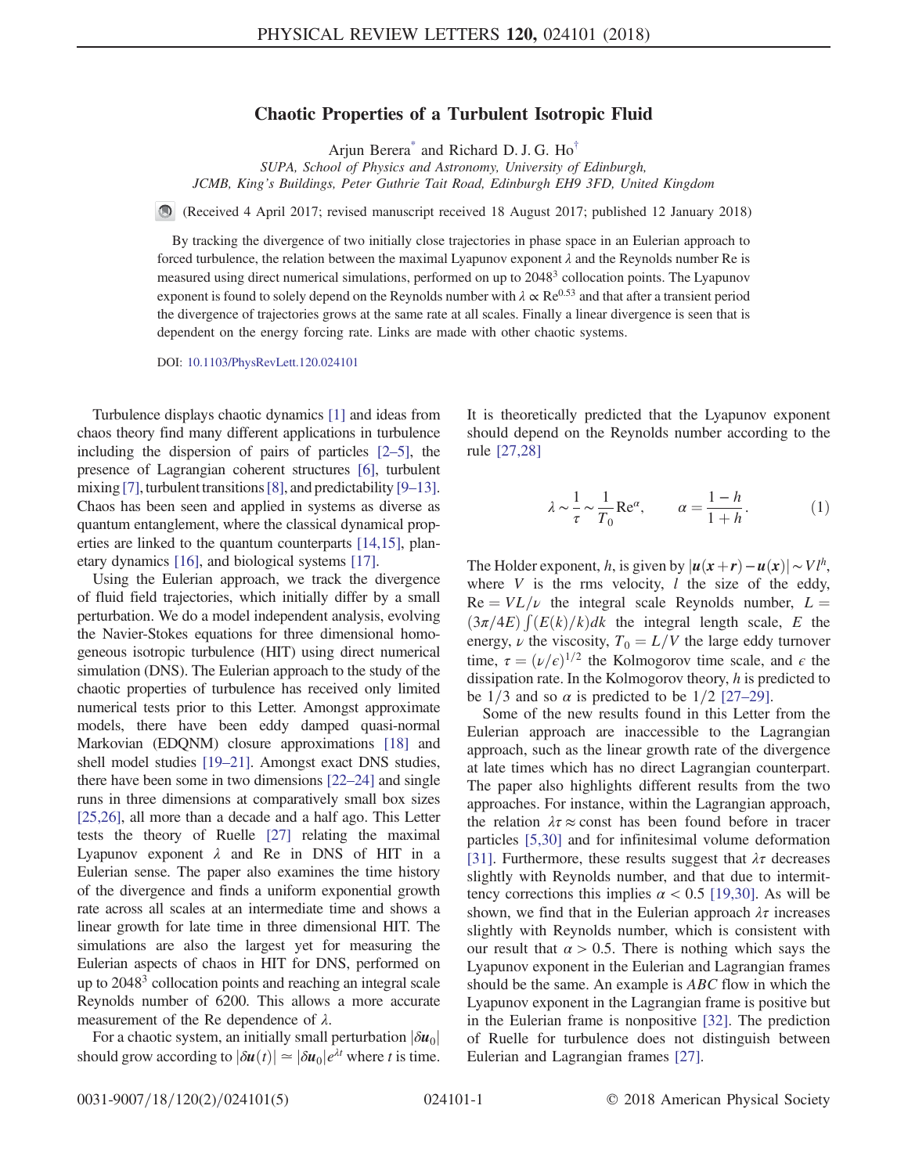#### Chaotic Properties of a Turbulent Isotropic Fluid

Arjun Berera<sup>[\\*](#page-5-0)</sup> and Richard D. J. G.  $Ho^{\dagger}$ 

SUPA, School of Physics and Astronomy, University of Edinburgh, JCMB, King's Buildings, Peter Guthrie Tait Road, Edinburgh EH9 3FD, United Kingdom

<span id="page-1-0"></span>(Received 4 April 2017; revised manuscript received 18 August 2017; published 12 January 2018)

By tracking the divergence of two initially close trajectories in phase space in an Eulerian approach to forced turbulence, the relation between the maximal Lyapunov exponent  $\lambda$  and the Reynolds number Re is measured using direct numerical simulations, performed on up to 2048<sup>3</sup> collocation points. The Lyapunov exponent is found to solely depend on the Reynolds number with  $\lambda \propto Re^{0.53}$  and that after a transient period the divergence of trajectories grows at the same rate at all scales. Finally a linear divergence is seen that is dependent on the energy forcing rate. Links are made with other chaotic systems.

DOI: [10.1103/PhysRevLett.120.024101](https://doi.org/10.1103/PhysRevLett.120.024101)

Turbulence displays chaotic dynamics [\[1\]](#page-5-2) and ideas from chaos theory find many different applications in turbulence including the dispersion of pairs of particles [\[2](#page-5-3)–5], the presence of Lagrangian coherent structures [\[6\],](#page-5-4) turbulent mixing [\[7\]](#page-5-5), turbulent transitions [\[8\],](#page-5-6) and predictability [9–[13\]](#page-5-7). Chaos has been seen and applied in systems as diverse as quantum entanglement, where the classical dynamical properties are linked to the quantum counterparts [\[14,15\]](#page-5-8), planetary dynamics [\[16\]](#page-5-9), and biological systems [\[17\]](#page-5-10).

Using the Eulerian approach, we track the divergence of fluid field trajectories, which initially differ by a small perturbation. We do a model independent analysis, evolving the Navier-Stokes equations for three dimensional homogeneous isotropic turbulence (HIT) using direct numerical simulation (DNS). The Eulerian approach to the study of the chaotic properties of turbulence has received only limited numerical tests prior to this Letter. Amongst approximate models, there have been eddy damped quasi-normal Markovian (EDQNM) closure approximations [\[18\]](#page-5-11) and shell model studies [19–[21\].](#page-5-12) Amongst exact DNS studies, there have been some in two dimensions [22–[24\]](#page-5-13) and single runs in three dimensions at comparatively small box sizes [\[25,26\],](#page-5-14) all more than a decade and a half ago. This Letter tests the theory of Ruelle [\[27\]](#page-5-15) relating the maximal Lyapunov exponent  $\lambda$  and Re in DNS of HIT in a Eulerian sense. The paper also examines the time history of the divergence and finds a uniform exponential growth rate across all scales at an intermediate time and shows a linear growth for late time in three dimensional HIT. The simulations are also the largest yet for measuring the Eulerian aspects of chaos in HIT for DNS, performed on up to 20483 collocation points and reaching an integral scale Reynolds number of 6200. This allows a more accurate measurement of the Re dependence of  $\lambda$ .

For a chaotic system, an initially small perturbation  $|\delta u_0|$ should grow according to  $|\delta u(t)| \simeq |\delta u_0| e^{\lambda t}$  where t is time.

It is theoretically predicted that the Lyapunov exponent should depend on the Reynolds number according to the rule [\[27,28\]](#page-5-15)

$$
\lambda \sim \frac{1}{\tau} \sim \frac{1}{T_0} \text{Re}^{\alpha}, \qquad \alpha = \frac{1-h}{1+h}.
$$
 (1)

The Holder exponent, h, is given by  $|u(x+r)-u(x)| \sim Vl^h$ , where  $V$  is the rms velocity,  $l$  the size of the eddy,  $Re = V L / \nu$  the integral scale Reynolds number,  $L =$  $(3\pi/4E)$   $\int (E(k)/k)dk$  the integral length scale, E the energy,  $\nu$  the viscosity,  $T_0 = L/V$  the large eddy turnover time,  $\tau = (\nu/\epsilon)^{1/2}$  the Kolmogorov time scale, and  $\epsilon$  the dissipation rate. In the Kolmogorov theory, h is predicted to be 1/3 and so  $\alpha$  is predicted to be 1/2 [\[27](#page-5-15)–29].

Some of the new results found in this Letter from the Eulerian approach are inaccessible to the Lagrangian approach, such as the linear growth rate of the divergence at late times which has no direct Lagrangian counterpart. The paper also highlights different results from the two approaches. For instance, within the Lagrangian approach, the relation  $\lambda \tau \approx$  const has been found before in tracer particles [\[5,30\]](#page-5-16) and for infinitesimal volume deformation [\[31\]](#page-5-17). Furthermore, these results suggest that  $\lambda \tau$  decreases slightly with Reynolds number, and that due to intermittency corrections this implies  $\alpha$  < 0.5 [\[19,30\]](#page-5-12). As will be shown, we find that in the Eulerian approach  $\lambda \tau$  increases slightly with Reynolds number, which is consistent with our result that  $\alpha > 0.5$ . There is nothing which says the Lyapunov exponent in the Eulerian and Lagrangian frames should be the same. An example is ABC flow in which the Lyapunov exponent in the Lagrangian frame is positive but in the Eulerian frame is nonpositive [\[32\]](#page-5-18). The prediction of Ruelle for turbulence does not distinguish between Eulerian and Lagrangian frames [\[27\]](#page-5-15).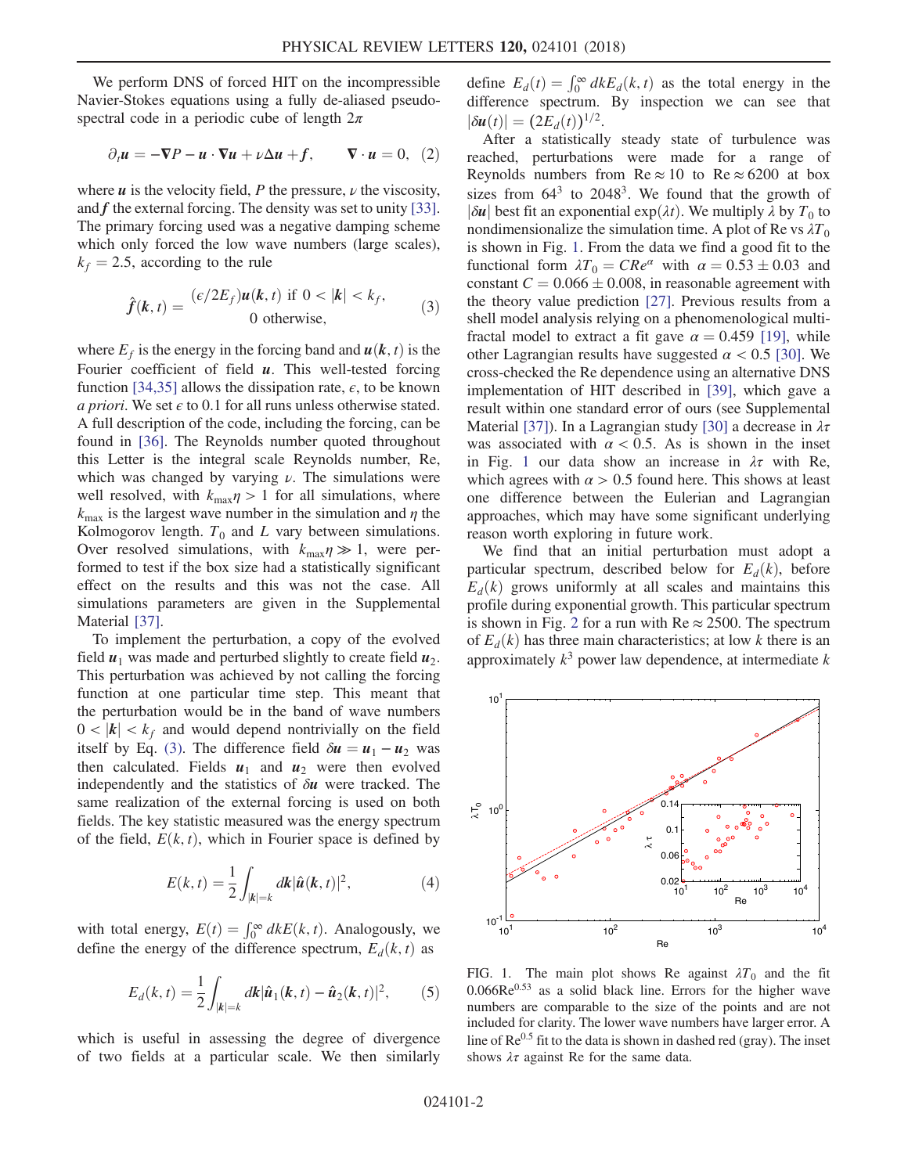We perform DNS of forced HIT on the incompressible Navier-Stokes equations using a fully de-aliased pseudospectral code in a periodic cube of length  $2\pi$ 

$$
\partial_t \mathbf{u} = -\nabla P - \mathbf{u} \cdot \nabla \mathbf{u} + \nu \Delta \mathbf{u} + f, \qquad \nabla \cdot \mathbf{u} = 0, \tag{2}
$$

<span id="page-2-0"></span>where  $\boldsymbol{u}$  is the velocity field, P the pressure,  $\nu$  the viscosity, and f the external forcing. The density was set to unity [\[33\]](#page-5-19). The primary forcing used was a negative damping scheme which only forced the low wave numbers (large scales),  $k_f$  = 2.5, according to the rule

$$
\hat{f}(\mathbf{k},t) = \frac{(\epsilon/2E_f)\mathbf{u}(\mathbf{k},t) \text{ if } 0 < |\mathbf{k}| < k_f,}{0 \text{ otherwise,}} \tag{3}
$$

where  $E_f$  is the energy in the forcing band and  $u(k, t)$  is the Fourier coefficient of field  $u$ . This well-tested forcing function [\[34,35\]](#page-5-20) allows the dissipation rate,  $\epsilon$ , to be known a priori. We set  $\epsilon$  to 0.1 for all runs unless otherwise stated. A full description of the code, including the forcing, can be found in [\[36\].](#page-5-21) The Reynolds number quoted throughout this Letter is the integral scale Reynolds number, Re, which was changed by varying  $\nu$ . The simulations were well resolved, with  $k_{\text{max}}\eta > 1$  for all simulations, where  $k_{\text{max}}$  is the largest wave number in the simulation and  $\eta$  the Kolmogorov length.  $T_0$  and L vary between simulations. Over resolved simulations, with  $k_{\text{max}}\eta \gg 1$ , were performed to test if the box size had a statistically significant effect on the results and this was not the case. All simulations parameters are given in the Supplemental Material [\[37\].](#page-5-22)

To implement the perturbation, a copy of the evolved field  $u_1$  was made and perturbed slightly to create field  $u_2$ . This perturbation was achieved by not calling the forcing function at one particular time step. This meant that the perturbation would be in the band of wave numbers  $0 < |k| < k_f$  and would depend nontrivially on the field itself by Eq. [\(3\).](#page-2-0) The difference field  $\delta u = u_1 - u_2$  was then calculated. Fields  $u_1$  and  $u_2$  were then evolved independently and the statistics of  $\delta u$  were tracked. The same realization of the external forcing is used on both fields. The key statistic measured was the energy spectrum of the field,  $E(k, t)$ , which in Fourier space is defined by

$$
E(k,t) = \frac{1}{2} \int_{|k|=k} dk |\hat{u}(k,t)|^2,
$$
 (4)

with total energy,  $E(t) = \int_0^\infty dk E(k, t)$ . Analogously, we define the energy of the difference spectrum,  $E_d(k, t)$  as

$$
E_d(k,t) = \frac{1}{2} \int_{|k|=k} dk |\hat{u}_1(k,t) - \hat{u}_2(k,t)|^2, \qquad (5)
$$

which is useful in assessing the degree of divergence of two fields at a particular scale. We then similarly

define  $E_d(t) = \int_0^\infty dk E_d(k, t)$  as the total energy in the difference spectrum. By inspection we can see that  $|\delta u(t)| = (2E_d(t))^{1/2}.$ 

After a statistically steady state of turbulence was reached, perturbations were made for a range of Reynolds numbers from Re  $\approx 10$  to Re  $\approx 6200$  at box sizes from  $64<sup>3</sup>$  to  $2048<sup>3</sup>$ . We found that the growth of  $|\delta u|$  best fit an exponential exp $(\lambda t)$ . We multiply  $\lambda$  by  $T_0$  to nondimensionalize the simulation time. A plot of Re vs  $\lambda T_0$ is shown in Fig. [1.](#page-2-1) From the data we find a good fit to the functional form  $\lambda T_0 = CRe^{\alpha}$  with  $\alpha = 0.53 \pm 0.03$  and constant  $C = 0.066 \pm 0.008$ , in reasonable agreement with the theory value prediction [\[27\].](#page-5-15) Previous results from a shell model analysis relying on a phenomenological multifractal model to extract a fit gave  $\alpha = 0.459$  [\[19\]](#page-5-12), while other Lagrangian results have suggested  $\alpha$  < 0.5 [\[30\]](#page-5-23). We cross-checked the Re dependence using an alternative DNS implementation of HIT described in [\[39\]](#page-5-24), which gave a result within one standard error of ours (see Supplemental Material [\[37\]](#page-5-22)). In a Lagrangian study [\[30\]](#page-5-23) a decrease in  $\lambda \tau$ was associated with  $\alpha$  < 0.5. As is shown in the inset in Fig. [1](#page-2-1) our data show an increase in  $\lambda \tau$  with Re, which agrees with  $\alpha > 0.5$  found here. This shows at least one difference between the Eulerian and Lagrangian approaches, which may have some significant underlying reason worth exploring in future work.

We find that an initial perturbation must adopt a particular spectrum, described below for  $E_d(k)$ , before  $E_d(k)$  grows uniformly at all scales and maintains this profile during exponential growth. This particular spectrum is shown in Fig. [2](#page-3-0) for a run with  $Re \approx 2500$ . The spectrum of  $E_d(k)$  has three main characteristics; at low k there is an approximately  $k^3$  power law dependence, at intermediate k

<span id="page-2-1"></span>

FIG. 1. The main plot shows Re against  $\lambda T_0$  and the fit  $0.066Re<sup>0.53</sup>$  as a solid black line. Errors for the higher wave numbers are comparable to the size of the points and are not included for clarity. The lower wave numbers have larger error. A line of  $Re^{0.5}$  fit to the data is shown in dashed red (gray). The inset shows  $\lambda \tau$  against Re for the same data.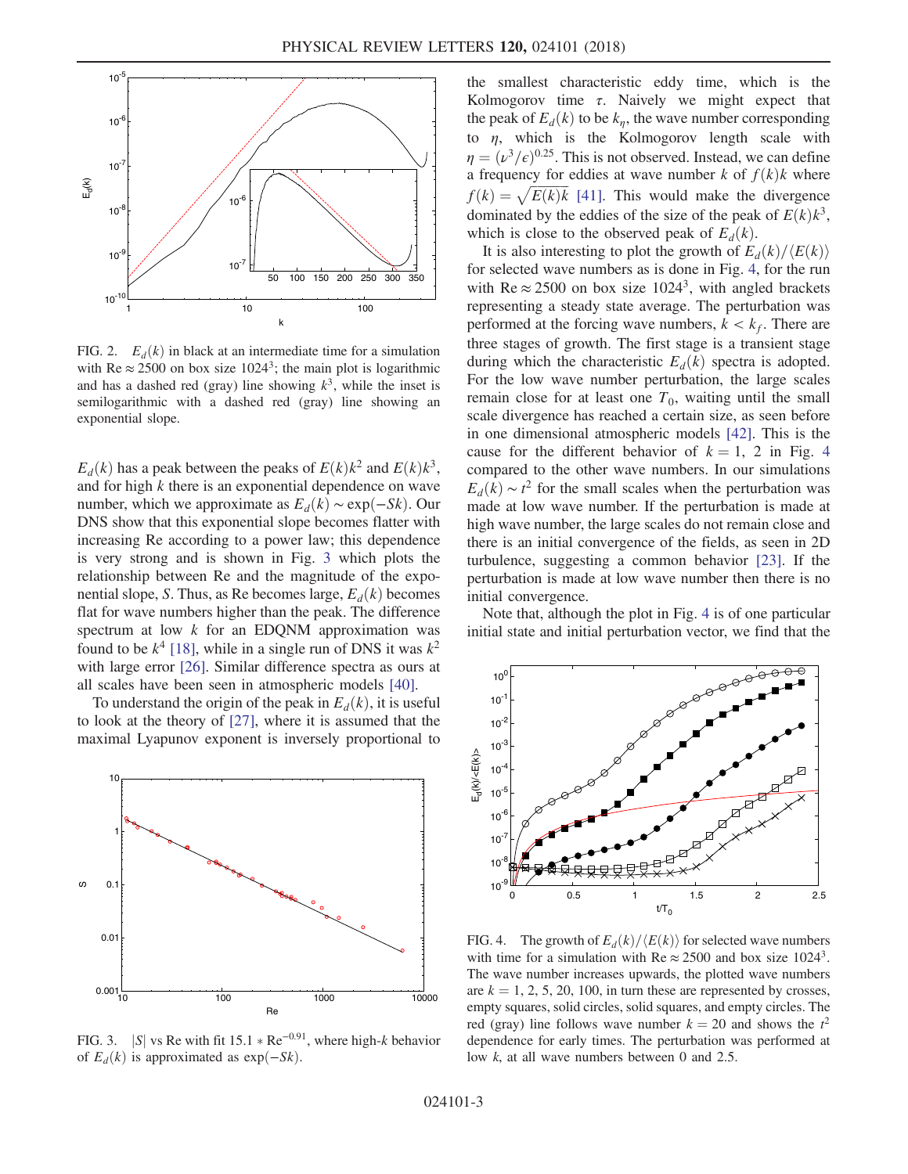<span id="page-3-0"></span>

FIG. 2.  $E_d(k)$  in black at an intermediate time for a simulation with Re  $\approx 2500$  on box size 1024<sup>3</sup>; the main plot is logarithmic and has a dashed red (gray) line showing  $k^3$ , while the inset is semilogarithmic with a dashed red (gray) line showing an exponential slope.

 $E_d(k)$  has a peak between the peaks of  $E(k)k^2$  and  $E(k)k^3$ , and for high k there is an exponential dependence on wave number, which we approximate as  $E_d(k) \sim \exp(-Sk)$ . Our DNS show that this exponential slope becomes flatter with increasing Re according to a power law; this dependence is very strong and is shown in Fig. [3](#page-3-1) which plots the relationship between Re and the magnitude of the exponential slope, S. Thus, as Re becomes large,  $E_d(k)$  becomes flat for wave numbers higher than the peak. The difference spectrum at low  $k$  for an EDQNM approximation was found to be  $k^4$  [\[18\],](#page-5-11) while in a single run of DNS it was  $k^2$ with large error [\[26\].](#page-5-25) Similar difference spectra as ours at all scales have been seen in atmospheric models [\[40\].](#page-5-26)

To understand the origin of the peak in  $E_d(k)$ , it is useful to look at the theory of [\[27\],](#page-5-15) where it is assumed that the maximal Lyapunov exponent is inversely proportional to

<span id="page-3-1"></span>

FIG. 3. |S| vs Re with fit 15.1  $*$  Re<sup>−0.91</sup>, where high-k behavior of  $E_d(k)$  is approximated as exp $(-Sk)$ .

the smallest characteristic eddy time, which is the Kolmogorov time  $\tau$ . Naively we might expect that the peak of  $E_d(k)$  to be  $k_n$ , the wave number corresponding to  $\eta$ , which is the Kolmogorov length scale with  $\eta = (\nu^3/\epsilon)^{0.25}$ . This is not observed. Instead, we can define a frequency for eddies at wave number k of  $f(k)$ k where  $f(k) = \sqrt{E(k)k}$  [\[41\]](#page-5-27). This would make the divergence dominated by the eddies of the size of the peak of  $E(k)k^3$ , which is close to the observed peak of  $E_d(k)$ .

It is also interesting to plot the growth of  $E_d(k)/\langle E(k)\rangle$ for selected wave numbers as is done in Fig. [4](#page-3-2), for the run with Re  $\approx 2500$  on box size 1024<sup>3</sup>, with angled brackets representing a steady state average. The perturbation was performed at the forcing wave numbers,  $k < k_f$ . There are three stages of growth. The first stage is a transient stage during which the characteristic  $E_d(k)$  spectra is adopted. For the low wave number perturbation, the large scales remain close for at least one  $T_0$ , waiting until the small scale divergence has reached a certain size, as seen before in one dimensional atmospheric models [\[42\]](#page-5-28). This is the cause for the different behavior of  $k = 1, 2$  in Fig. [4](#page-3-2) compared to the other wave numbers. In our simulations  $E_d(k) \sim t^2$  for the small scales when the perturbation was made at low wave number. If the perturbation is made at high wave number, the large scales do not remain close and there is an initial convergence of the fields, as seen in 2D turbulence, suggesting a common behavior [\[23\]](#page-5-29). If the perturbation is made at low wave number then there is no initial convergence.

Note that, although the plot in Fig. [4](#page-3-2) is of one particular initial state and initial perturbation vector, we find that the

<span id="page-3-2"></span>

FIG. 4. The growth of  $E_d(k)/\langle E(k)\rangle$  for selected wave numbers with time for a simulation with Re  $\approx 2500$  and box size 1024<sup>3</sup>. The wave number increases upwards, the plotted wave numbers are  $k = 1, 2, 5, 20, 100$ , in turn these are represented by crosses, empty squares, solid circles, solid squares, and empty circles. The red (gray) line follows wave number  $k = 20$  and shows the  $t^2$ dependence for early times. The perturbation was performed at low k, at all wave numbers between 0 and 2.5.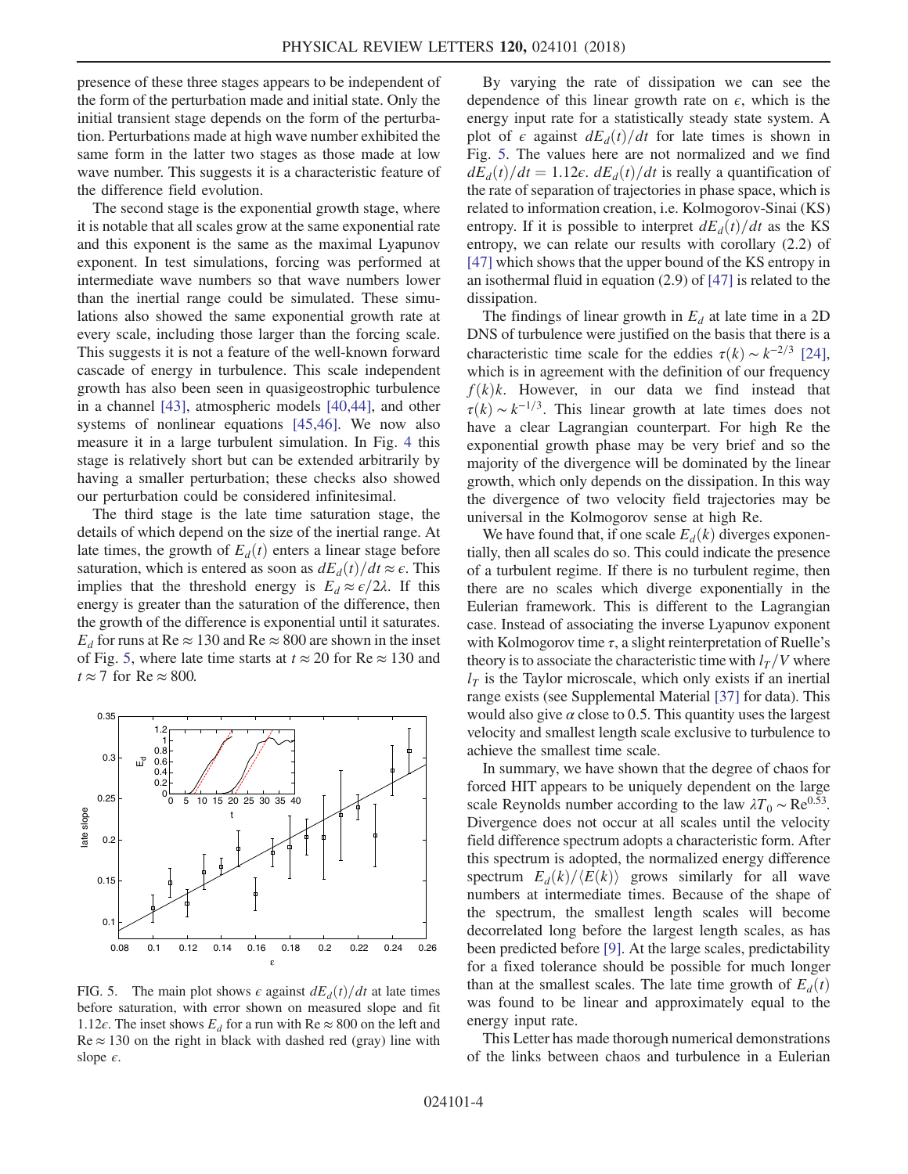presence of these three stages appears to be independent of the form of the perturbation made and initial state. Only the initial transient stage depends on the form of the perturbation. Perturbations made at high wave number exhibited the same form in the latter two stages as those made at low wave number. This suggests it is a characteristic feature of the difference field evolution.

The second stage is the exponential growth stage, where it is notable that all scales grow at the same exponential rate and this exponent is the same as the maximal Lyapunov exponent. In test simulations, forcing was performed at intermediate wave numbers so that wave numbers lower than the inertial range could be simulated. These simulations also showed the same exponential growth rate at every scale, including those larger than the forcing scale. This suggests it is not a feature of the well-known forward cascade of energy in turbulence. This scale independent growth has also been seen in quasigeostrophic turbulence in a channel [\[43\],](#page-5-30) atmospheric models [\[40,44\],](#page-5-26) and other systems of nonlinear equations [\[45,46\].](#page-5-31) We now also measure it in a large turbulent simulation. In Fig. [4](#page-3-2) this stage is relatively short but can be extended arbitrarily by having a smaller perturbation; these checks also showed our perturbation could be considered infinitesimal.

The third stage is the late time saturation stage, the details of which depend on the size of the inertial range. At late times, the growth of  $E_d(t)$  enters a linear stage before saturation, which is entered as soon as  $dE_d(t)/dt \approx \epsilon$ . This implies that the threshold energy is  $E_d \approx \frac{\epsilon}{2\lambda}$ . If this energy is greater than the saturation of the difference, then the growth of the difference is exponential until it saturates.  $E_d$  for runs at Re  $\approx 130$  and Re  $\approx 800$  are shown in the inset of Fig. [5](#page-4-0), where late time starts at  $t \approx 20$  for Re  $\approx 130$  and  $t \approx 7$  for Re  $\approx 800$ .

<span id="page-4-0"></span>

FIG. 5. The main plot shows  $\epsilon$  against  $dE_d(t)/dt$  at late times before saturation, with error shown on measured slope and fit 1.12 $\epsilon$ . The inset shows  $E_d$  for a run with Re  $\approx 800$  on the left and  $Re \approx 130$  on the right in black with dashed red (gray) line with slope  $\epsilon$ .

By varying the rate of dissipation we can see the dependence of this linear growth rate on  $\epsilon$ , which is the energy input rate for a statistically steady state system. A plot of  $\epsilon$  against  $dE_d(t)/dt$  for late times is shown in Fig. [5](#page-4-0). The values here are not normalized and we find  $dE_d(t)/dt=1.12\epsilon$ .  $dE_d(t)/dt$  is really a quantification of the rate of separation of trajectories in phase space, which is related to information creation, i.e. Kolmogorov-Sinai (KS) entropy. If it is possible to interpret  $dE_d(t)/dt$  as the KS entropy, we can relate our results with corollary (2.2) of [\[47\]](#page-5-32) which shows that the upper bound of the KS entropy in an isothermal fluid in equation (2.9) of [\[47\]](#page-5-32) is related to the dissipation.

The findings of linear growth in  $E_d$  at late time in a 2D DNS of turbulence were justified on the basis that there is a characteristic time scale for the eddies  $\tau(k) \sim k^{-2/3}$  [\[24\]](#page-5-33), which is in agreement with the definition of our frequency  $f(k)k$ . However, in our data we find instead that  $\tau(k) \sim k^{-1/3}$ . This linear growth at late times does not have a clear Lagrangian counterpart. For high Re the exponential growth phase may be very brief and so the majority of the divergence will be dominated by the linear growth, which only depends on the dissipation. In this way the divergence of two velocity field trajectories may be universal in the Kolmogorov sense at high Re.

We have found that, if one scale  $E_d(k)$  diverges exponentially, then all scales do so. This could indicate the presence of a turbulent regime. If there is no turbulent regime, then there are no scales which diverge exponentially in the Eulerian framework. This is different to the Lagrangian case. Instead of associating the inverse Lyapunov exponent with Kolmogorov time  $\tau$ , a slight reinterpretation of Ruelle's theory is to associate the characteristic time with  $l_T/V$  where  $l<sub>T</sub>$  is the Taylor microscale, which only exists if an inertial range exists (see Supplemental Material [\[37\]](#page-5-22) for data). This would also give  $\alpha$  close to 0.5. This quantity uses the largest velocity and smallest length scale exclusive to turbulence to achieve the smallest time scale.

In summary, we have shown that the degree of chaos for forced HIT appears to be uniquely dependent on the large scale Reynolds number according to the law  $\lambda T_0 \sim \text{Re}^{0.53}$ . Divergence does not occur at all scales until the velocity field difference spectrum adopts a characteristic form. After this spectrum is adopted, the normalized energy difference spectrum  $E_d(k)/\langle E(k)\rangle$  grows similarly for all wave numbers at intermediate times. Because of the shape of the spectrum, the smallest length scales will become decorrelated long before the largest length scales, as has been predicted before [\[9\]](#page-5-7). At the large scales, predictability for a fixed tolerance should be possible for much longer than at the smallest scales. The late time growth of  $E_d(t)$ was found to be linear and approximately equal to the energy input rate.

This Letter has made thorough numerical demonstrations of the links between chaos and turbulence in a Eulerian